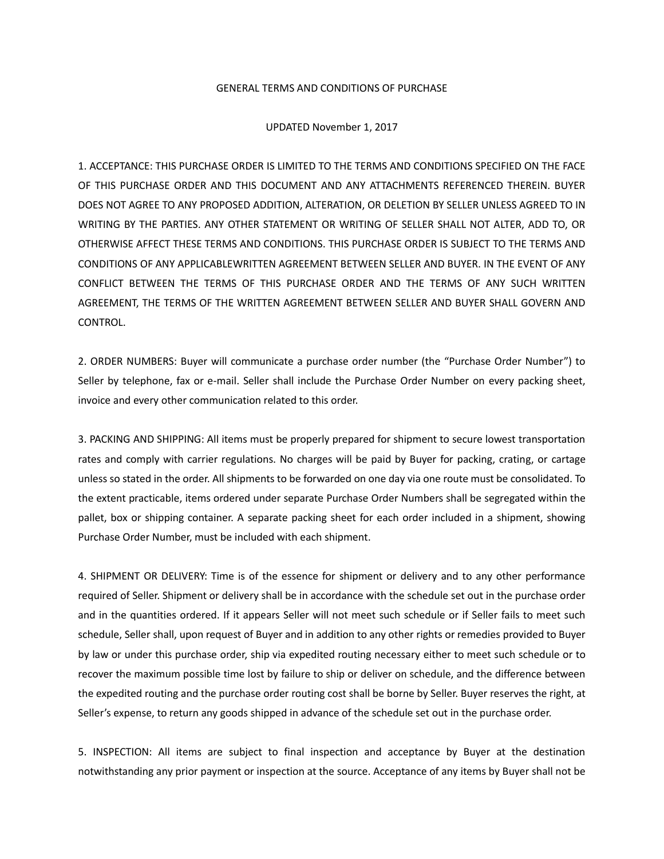## GENERAL TERMS AND CONDITIONS OF PURCHASE

UPDATED November 1, 2017

1. ACCEPTANCE: THIS PURCHASE ORDER IS LIMITED TO THE TERMS AND CONDITIONS SPECIFIED ON THE FACE OF THIS PURCHASE ORDER AND THIS DOCUMENT AND ANY ATTACHMENTS REFERENCED THEREIN. BUYER DOES NOT AGREE TO ANY PROPOSED ADDITION, ALTERATION, OR DELETION BY SELLER UNLESS AGREED TO IN WRITING BY THE PARTIES. ANY OTHER STATEMENT OR WRITING OF SELLER SHALL NOT ALTER, ADD TO, OR OTHERWISE AFFECT THESE TERMS AND CONDITIONS. THIS PURCHASE ORDER IS SUBJECT TO THE TERMS AND CONDITIONS OF ANY APPLICABLEWRITTEN AGREEMENT BETWEEN SELLER AND BUYER. IN THE EVENT OF ANY CONFLICT BETWEEN THE TERMS OF THIS PURCHASE ORDER AND THE TERMS OF ANY SUCH WRITTEN AGREEMENT, THE TERMS OF THE WRITTEN AGREEMENT BETWEEN SELLER AND BUYER SHALL GOVERN AND CONTROL.

2. ORDER NUMBERS: Buyer will communicate a purchase order number (the "Purchase Order Number") to Seller by telephone, fax or e-mail. Seller shall include the Purchase Order Number on every packing sheet, invoice and every other communication related to this order.

3. PACKING AND SHIPPING: All items must be properly prepared for shipment to secure lowest transportation rates and comply with carrier regulations. No charges will be paid by Buyer for packing, crating, or cartage unless so stated in the order. All shipments to be forwarded on one day via one route must be consolidated. To the extent practicable, items ordered under separate Purchase Order Numbers shall be segregated within the pallet, box or shipping container. A separate packing sheet for each order included in a shipment, showing Purchase Order Number, must be included with each shipment.

4. SHIPMENT OR DELIVERY: Time is of the essence for shipment or delivery and to any other performance required of Seller. Shipment or delivery shall be in accordance with the schedule set out in the purchase order and in the quantities ordered. If it appears Seller will not meet such schedule or if Seller fails to meet such schedule, Seller shall, upon request of Buyer and in addition to any other rights or remedies provided to Buyer by law or under this purchase order, ship via expedited routing necessary either to meet such schedule or to recover the maximum possible time lost by failure to ship or deliver on schedule, and the difference between the expedited routing and the purchase order routing cost shall be borne by Seller. Buyer reserves the right, at Seller's expense, to return any goods shipped in advance of the schedule set out in the purchase order.

5. INSPECTION: All items are subject to final inspection and acceptance by Buyer at the destination notwithstanding any prior payment or inspection at the source. Acceptance of any items by Buyer shall not be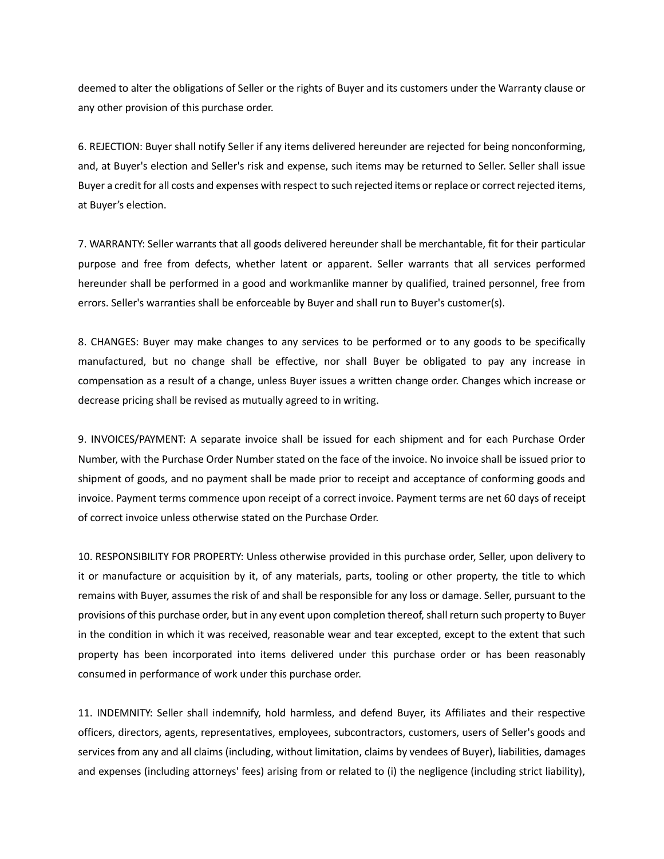deemed to alter the obligations of Seller or the rights of Buyer and its customers under the Warranty clause or any other provision of this purchase order.

6. REJECTION: Buyer shall notify Seller if any items delivered hereunder are rejected for being nonconforming, and, at Buyer's election and Seller's risk and expense, such items may be returned to Seller. Seller shall issue Buyer a credit for all costs and expenses with respect to such rejected items or replace or correct rejected items, at Buyer's election.

7. WARRANTY: Seller warrants that all goods delivered hereunder shall be merchantable, fit for their particular purpose and free from defects, whether latent or apparent. Seller warrants that all services performed hereunder shall be performed in a good and workmanlike manner by qualified, trained personnel, free from errors. Seller's warranties shall be enforceable by Buyer and shall run to Buyer's customer(s).

8. CHANGES: Buyer may make changes to any services to be performed or to any goods to be specifically manufactured, but no change shall be effective, nor shall Buyer be obligated to pay any increase in compensation as a result of a change, unless Buyer issues a written change order. Changes which increase or decrease pricing shall be revised as mutually agreed to in writing.

9. INVOICES/PAYMENT: A separate invoice shall be issued for each shipment and for each Purchase Order Number, with the Purchase Order Number stated on the face of the invoice. No invoice shall be issued prior to shipment of goods, and no payment shall be made prior to receipt and acceptance of conforming goods and invoice. Payment terms commence upon receipt of a correct invoice. Payment terms are net 60 days of receipt of correct invoice unless otherwise stated on the Purchase Order.

10. RESPONSIBILITY FOR PROPERTY: Unless otherwise provided in this purchase order, Seller, upon delivery to it or manufacture or acquisition by it, of any materials, parts, tooling or other property, the title to which remains with Buyer, assumes the risk of and shall be responsible for any loss or damage. Seller, pursuant to the provisions of this purchase order, but in any event upon completion thereof, shall return such property to Buyer in the condition in which it was received, reasonable wear and tear excepted, except to the extent that such property has been incorporated into items delivered under this purchase order or has been reasonably consumed in performance of work under this purchase order.

11. INDEMNITY: Seller shall indemnify, hold harmless, and defend Buyer, its Affiliates and their respective officers, directors, agents, representatives, employees, subcontractors, customers, users of Seller's goods and services from any and all claims (including, without limitation, claims by vendees of Buyer), liabilities, damages and expenses (including attorneys' fees) arising from or related to (i) the negligence (including strict liability),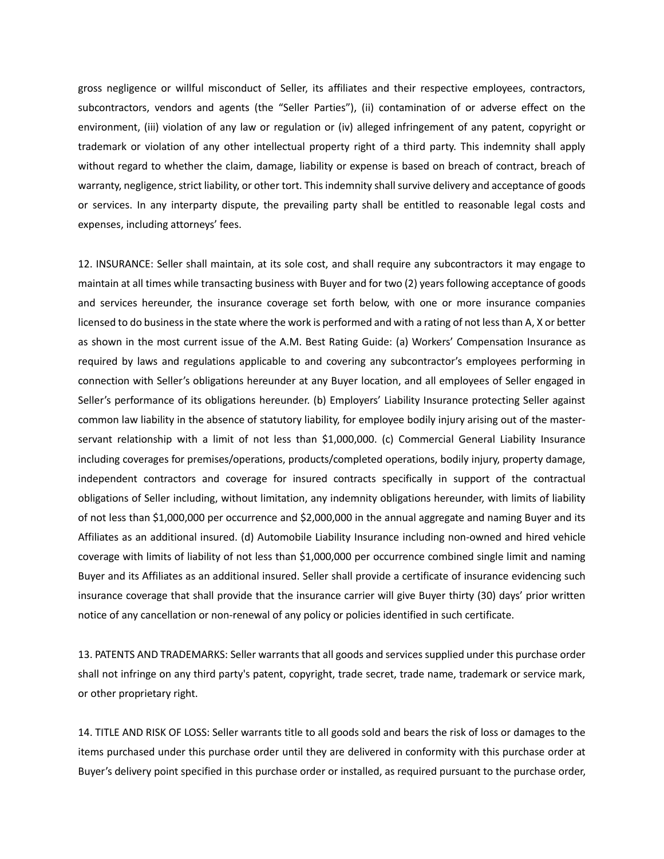gross negligence or willful misconduct of Seller, its affiliates and their respective employees, contractors, subcontractors, vendors and agents (the "Seller Parties"), (ii) contamination of or adverse effect on the environment, (iii) violation of any law or regulation or (iv) alleged infringement of any patent, copyright or trademark or violation of any other intellectual property right of a third party. This indemnity shall apply without regard to whether the claim, damage, liability or expense is based on breach of contract, breach of warranty, negligence, strict liability, or other tort. This indemnity shall survive delivery and acceptance of goods or services. In any interparty dispute, the prevailing party shall be entitled to reasonable legal costs and expenses, including attorneys' fees.

12. INSURANCE: Seller shall maintain, at its sole cost, and shall require any subcontractors it may engage to maintain at all times while transacting business with Buyer and for two (2) years following acceptance of goods and services hereunder, the insurance coverage set forth below, with one or more insurance companies licensed to do business in the state where the work is performed and with a rating of not less than A, X or better as shown in the most current issue of the A.M. Best Rating Guide: (a) Workers' Compensation Insurance as required by laws and regulations applicable to and covering any subcontractor's employees performing in connection with Seller's obligations hereunder at any Buyer location, and all employees of Seller engaged in Seller's performance of its obligations hereunder. (b) Employers' Liability Insurance protecting Seller against common law liability in the absence of statutory liability, for employee bodily injury arising out of the masterservant relationship with a limit of not less than \$1,000,000. (c) Commercial General Liability Insurance including coverages for premises/operations, products/completed operations, bodily injury, property damage, independent contractors and coverage for insured contracts specifically in support of the contractual obligations of Seller including, without limitation, any indemnity obligations hereunder, with limits of liability of not less than \$1,000,000 per occurrence and \$2,000,000 in the annual aggregate and naming Buyer and its Affiliates as an additional insured. (d) Automobile Liability Insurance including non-owned and hired vehicle coverage with limits of liability of not less than \$1,000,000 per occurrence combined single limit and naming Buyer and its Affiliates as an additional insured. Seller shall provide a certificate of insurance evidencing such insurance coverage that shall provide that the insurance carrier will give Buyer thirty (30) days' prior written notice of any cancellation or non-renewal of any policy or policies identified in such certificate.

13. PATENTS AND TRADEMARKS: Seller warrants that all goods and services supplied under this purchase order shall not infringe on any third party's patent, copyright, trade secret, trade name, trademark or service mark, or other proprietary right.

14. TITLE AND RISK OF LOSS: Seller warrants title to all goods sold and bears the risk of loss or damages to the items purchased under this purchase order until they are delivered in conformity with this purchase order at Buyer's delivery point specified in this purchase order or installed, as required pursuant to the purchase order,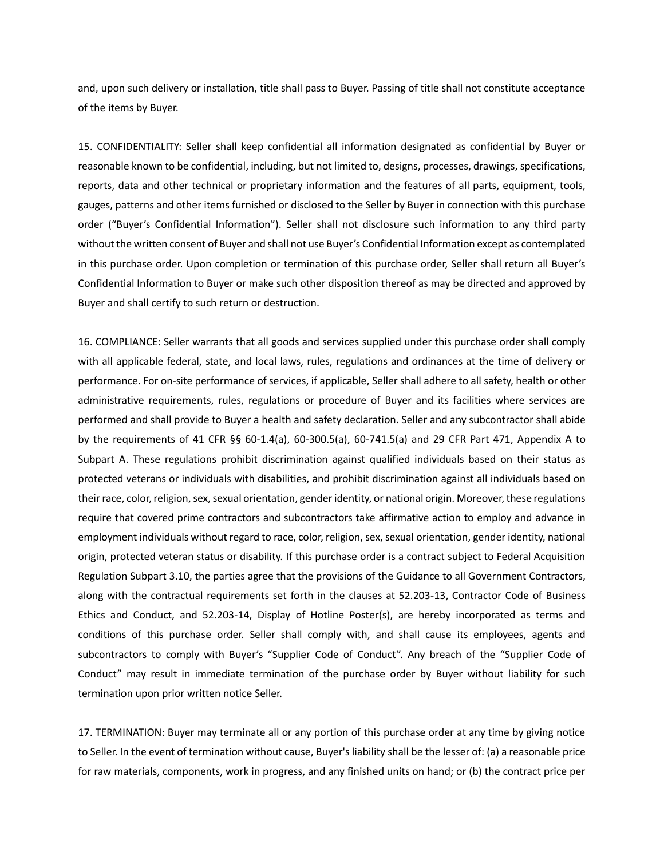and, upon such delivery or installation, title shall pass to Buyer. Passing of title shall not constitute acceptance of the items by Buyer.

15. CONFIDENTIALITY: Seller shall keep confidential all information designated as confidential by Buyer or reasonable known to be confidential, including, but not limited to, designs, processes, drawings, specifications, reports, data and other technical or proprietary information and the features of all parts, equipment, tools, gauges, patterns and other items furnished or disclosed to the Seller by Buyer in connection with this purchase order ("Buyer's Confidential Information"). Seller shall not disclosure such information to any third party without the written consent of Buyer and shall not use Buyer's Confidential Information except as contemplated in this purchase order. Upon completion or termination of this purchase order, Seller shall return all Buyer's Confidential Information to Buyer or make such other disposition thereof as may be directed and approved by Buyer and shall certify to such return or destruction.

16. COMPLIANCE: Seller warrants that all goods and services supplied under this purchase order shall comply with all applicable federal, state, and local laws, rules, regulations and ordinances at the time of delivery or performance. For on-site performance of services, if applicable, Seller shall adhere to all safety, health or other administrative requirements, rules, regulations or procedure of Buyer and its facilities where services are performed and shall provide to Buyer a health and safety declaration. Seller and any subcontractor shall abide by the requirements of 41 CFR §§ 60-1.4(a), 60-300.5(a), 60-741.5(a) and 29 CFR Part 471, Appendix A to Subpart A. These regulations prohibit discrimination against qualified individuals based on their status as protected veterans or individuals with disabilities, and prohibit discrimination against all individuals based on their race, color, religion, sex, sexual orientation, gender identity, or national origin. Moreover, these regulations require that covered prime contractors and subcontractors take affirmative action to employ and advance in employment individuals without regard to race, color, religion, sex, sexual orientation, gender identity, national origin, protected veteran status or disability. If this purchase order is a contract subject to Federal Acquisition Regulation Subpart 3.10, the parties agree that the provisions of the Guidance to all Government Contractors, along with the contractual requirements set forth in the clauses at 52.203-13, Contractor Code of Business Ethics and Conduct, and 52.203-14, Display of Hotline Poster(s), are hereby incorporated as terms and conditions of this purchase order. Seller shall comply with, and shall cause its employees, agents and subcontractors to comply with Buyer's "Supplier Code of Conduct". Any breach of the "Supplier Code of Conduct" may result in immediate termination of the purchase order by Buyer without liability for such termination upon prior written notice Seller.

17. TERMINATION: Buyer may terminate all or any portion of this purchase order at any time by giving notice to Seller. In the event of termination without cause, Buyer's liability shall be the lesser of: (a) a reasonable price for raw materials, components, work in progress, and any finished units on hand; or (b) the contract price per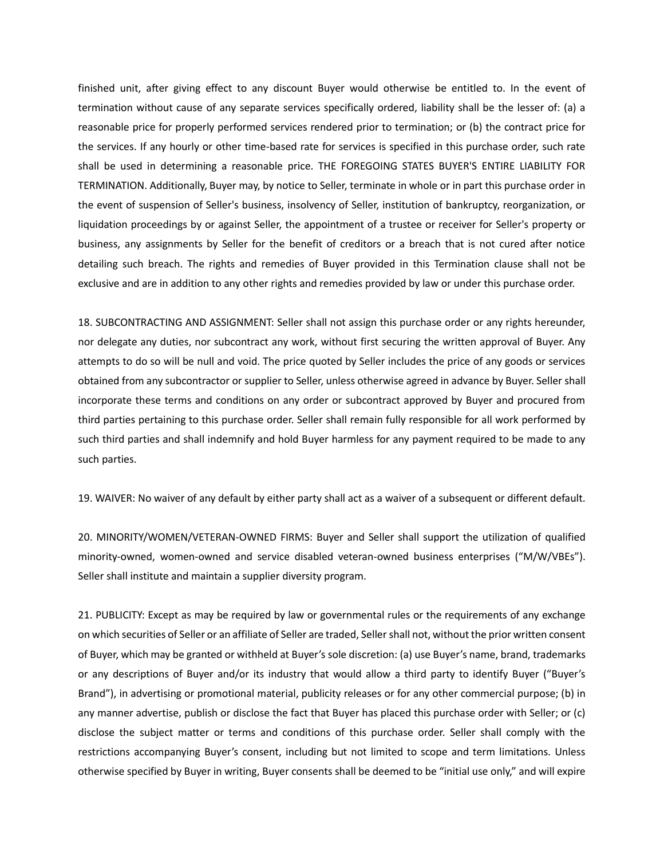finished unit, after giving effect to any discount Buyer would otherwise be entitled to. In the event of termination without cause of any separate services specifically ordered, liability shall be the lesser of: (a) a reasonable price for properly performed services rendered prior to termination; or (b) the contract price for the services. If any hourly or other time-based rate for services is specified in this purchase order, such rate shall be used in determining a reasonable price. THE FOREGOING STATES BUYER'S ENTIRE LIABILITY FOR TERMINATION. Additionally, Buyer may, by notice to Seller, terminate in whole or in part this purchase order in the event of suspension of Seller's business, insolvency of Seller, institution of bankruptcy, reorganization, or liquidation proceedings by or against Seller, the appointment of a trustee or receiver for Seller's property or business, any assignments by Seller for the benefit of creditors or a breach that is not cured after notice detailing such breach. The rights and remedies of Buyer provided in this Termination clause shall not be exclusive and are in addition to any other rights and remedies provided by law or under this purchase order.

18. SUBCONTRACTING AND ASSIGNMENT: Seller shall not assign this purchase order or any rights hereunder, nor delegate any duties, nor subcontract any work, without first securing the written approval of Buyer. Any attempts to do so will be null and void. The price quoted by Seller includes the price of any goods or services obtained from any subcontractor or supplier to Seller, unless otherwise agreed in advance by Buyer. Seller shall incorporate these terms and conditions on any order or subcontract approved by Buyer and procured from third parties pertaining to this purchase order. Seller shall remain fully responsible for all work performed by such third parties and shall indemnify and hold Buyer harmless for any payment required to be made to any such parties.

19. WAIVER: No waiver of any default by either party shall act as a waiver of a subsequent or different default.

20. MINORITY/WOMEN/VETERAN-OWNED FIRMS: Buyer and Seller shall support the utilization of qualified minority-owned, women-owned and service disabled veteran-owned business enterprises ("M/W/VBEs"). Seller shall institute and maintain a supplier diversity program.

21. PUBLICITY: Except as may be required by law or governmental rules or the requirements of any exchange on which securities of Seller or an affiliate of Seller are traded, Seller shall not, without the prior written consent of Buyer, which may be granted or withheld at Buyer's sole discretion: (a) use Buyer's name, brand, trademarks or any descriptions of Buyer and/or its industry that would allow a third party to identify Buyer ("Buyer's Brand"), in advertising or promotional material, publicity releases or for any other commercial purpose; (b) in any manner advertise, publish or disclose the fact that Buyer has placed this purchase order with Seller; or (c) disclose the subject matter or terms and conditions of this purchase order. Seller shall comply with the restrictions accompanying Buyer's consent, including but not limited to scope and term limitations. Unless otherwise specified by Buyer in writing, Buyer consents shall be deemed to be "initial use only," and will expire